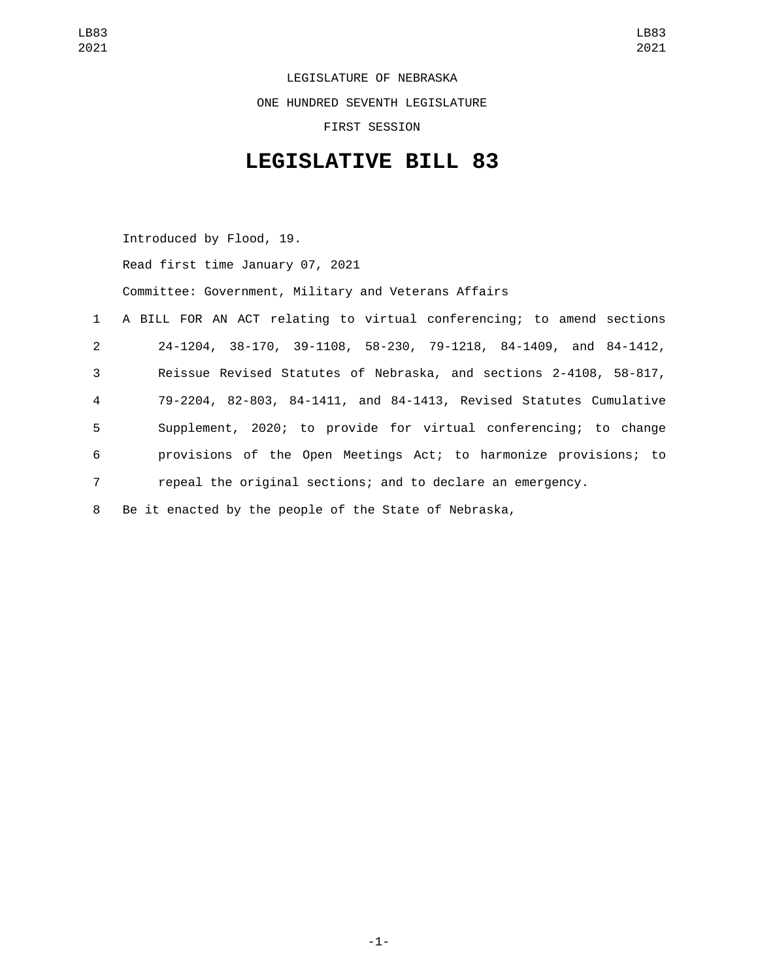LEGISLATURE OF NEBRASKA ONE HUNDRED SEVENTH LEGISLATURE FIRST SESSION

## **LEGISLATIVE BILL 83**

Introduced by Flood, 19. Read first time January 07, 2021 Committee: Government, Military and Veterans Affairs A BILL FOR AN ACT relating to virtual conferencing; to amend sections 24-1204, 38-170, 39-1108, 58-230, 79-1218, 84-1409, and 84-1412, Reissue Revised Statutes of Nebraska, and sections 2-4108, 58-817, 79-2204, 82-803, 84-1411, and 84-1413, Revised Statutes Cumulative Supplement, 2020; to provide for virtual conferencing; to change provisions of the Open Meetings Act; to harmonize provisions; to repeal the original sections; and to declare an emergency. Be it enacted by the people of the State of Nebraska,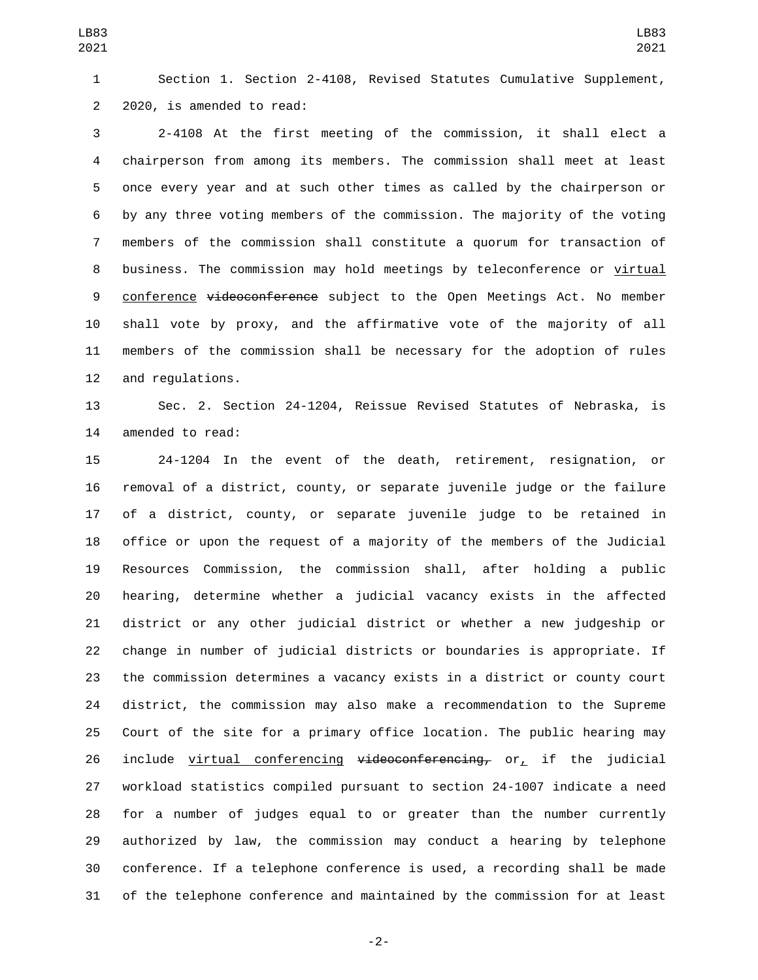Section 1. Section 2-4108, Revised Statutes Cumulative Supplement, 2 2020, is amended to read:

 2-4108 At the first meeting of the commission, it shall elect a chairperson from among its members. The commission shall meet at least once every year and at such other times as called by the chairperson or by any three voting members of the commission. The majority of the voting members of the commission shall constitute a quorum for transaction of business. The commission may hold meetings by teleconference or virtual 9 conference videoconference subject to the Open Meetings Act. No member shall vote by proxy, and the affirmative vote of the majority of all members of the commission shall be necessary for the adoption of rules 12 and regulations.

 Sec. 2. Section 24-1204, Reissue Revised Statutes of Nebraska, is 14 amended to read:

 24-1204 In the event of the death, retirement, resignation, or removal of a district, county, or separate juvenile judge or the failure of a district, county, or separate juvenile judge to be retained in office or upon the request of a majority of the members of the Judicial Resources Commission, the commission shall, after holding a public hearing, determine whether a judicial vacancy exists in the affected district or any other judicial district or whether a new judgeship or change in number of judicial districts or boundaries is appropriate. If the commission determines a vacancy exists in a district or county court district, the commission may also make a recommendation to the Supreme Court of the site for a primary office location. The public hearing may 26 include virtual conferencing  $v$ ideoconferencing, or, if the judicial workload statistics compiled pursuant to section 24-1007 indicate a need for a number of judges equal to or greater than the number currently authorized by law, the commission may conduct a hearing by telephone conference. If a telephone conference is used, a recording shall be made of the telephone conference and maintained by the commission for at least

-2-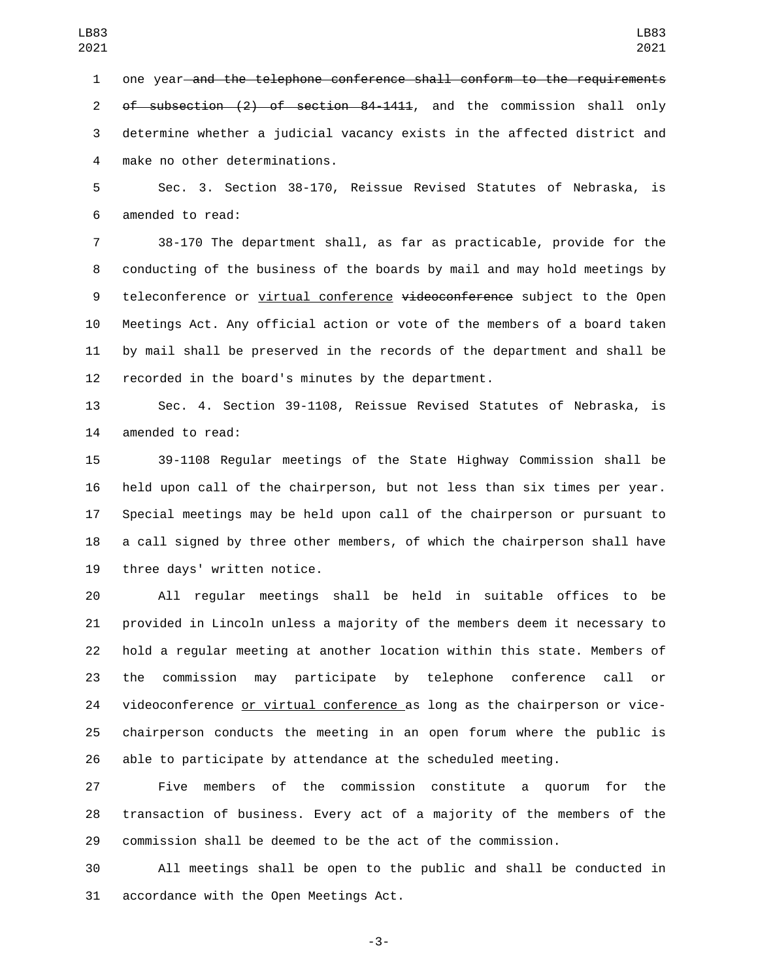one year and the telephone conference shall conform to the requirements of subsection (2) of section 84-1411, and the commission shall only determine whether a judicial vacancy exists in the affected district and make no other determinations.4

 Sec. 3. Section 38-170, Reissue Revised Statutes of Nebraska, is 6 amended to read:

 38-170 The department shall, as far as practicable, provide for the conducting of the business of the boards by mail and may hold meetings by 9 teleconference or virtual conference videoconference subject to the Open Meetings Act. Any official action or vote of the members of a board taken by mail shall be preserved in the records of the department and shall be recorded in the board's minutes by the department.

 Sec. 4. Section 39-1108, Reissue Revised Statutes of Nebraska, is 14 amended to read:

 39-1108 Regular meetings of the State Highway Commission shall be held upon call of the chairperson, but not less than six times per year. Special meetings may be held upon call of the chairperson or pursuant to a call signed by three other members, of which the chairperson shall have 19 three days' written notice.

 All regular meetings shall be held in suitable offices to be provided in Lincoln unless a majority of the members deem it necessary to hold a regular meeting at another location within this state. Members of the commission may participate by telephone conference call or 24 videoconference or virtual conference as long as the chairperson or vice- chairperson conducts the meeting in an open forum where the public is able to participate by attendance at the scheduled meeting.

 Five members of the commission constitute a quorum for the transaction of business. Every act of a majority of the members of the commission shall be deemed to be the act of the commission.

 All meetings shall be open to the public and shall be conducted in 31 accordance with the Open Meetings Act.

-3-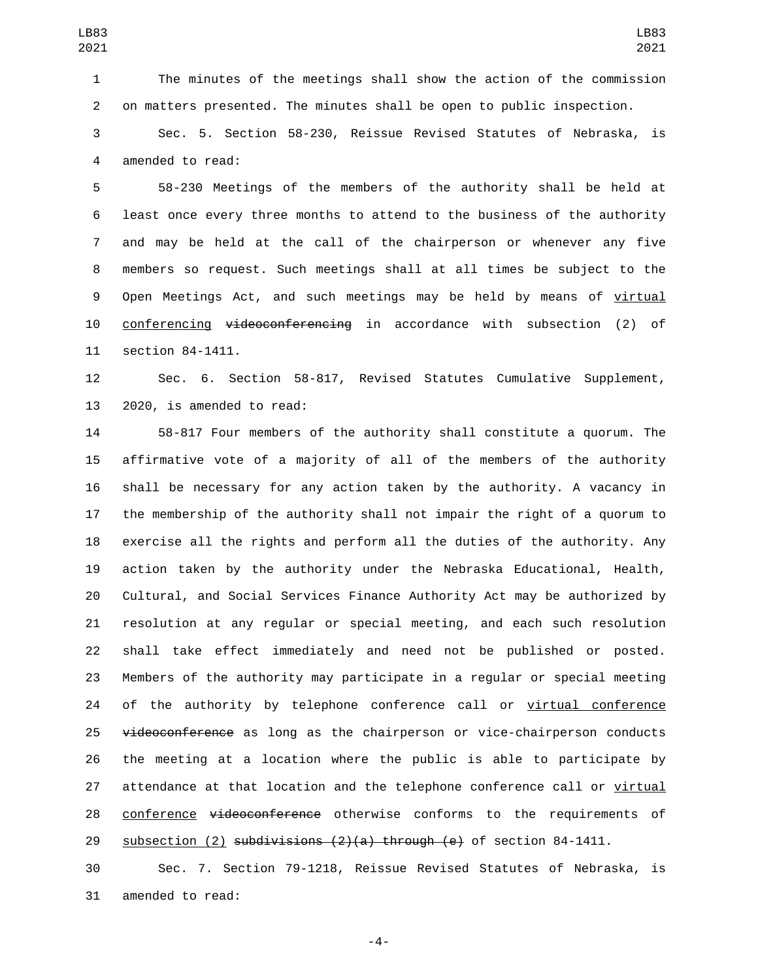The minutes of the meetings shall show the action of the commission on matters presented. The minutes shall be open to public inspection.

 Sec. 5. Section 58-230, Reissue Revised Statutes of Nebraska, is 4 amended to read:

 58-230 Meetings of the members of the authority shall be held at least once every three months to attend to the business of the authority and may be held at the call of the chairperson or whenever any five members so request. Such meetings shall at all times be subject to the Open Meetings Act, and such meetings may be held by means of virtual 10 conferencing videoconferencing in accordance with subsection (2) of 11 section 84-1411.

 Sec. 6. Section 58-817, Revised Statutes Cumulative Supplement, 13 2020, is amended to read:

 58-817 Four members of the authority shall constitute a quorum. The affirmative vote of a majority of all of the members of the authority shall be necessary for any action taken by the authority. A vacancy in the membership of the authority shall not impair the right of a quorum to exercise all the rights and perform all the duties of the authority. Any action taken by the authority under the Nebraska Educational, Health, Cultural, and Social Services Finance Authority Act may be authorized by resolution at any regular or special meeting, and each such resolution shall take effect immediately and need not be published or posted. Members of the authority may participate in a regular or special meeting 24 of the authority by telephone conference call or virtual conference 25 videoconference as long as the chairperson or vice-chairperson conducts the meeting at a location where the public is able to participate by 27 attendance at that location and the telephone conference call or virtual 28 conference videoconference otherwise conforms to the requirements of 29 subsection  $(2)$  subdivisions  $(2)(a)$  through  $(e)$  of section 84-1411.

 Sec. 7. Section 79-1218, Reissue Revised Statutes of Nebraska, is 31 amended to read:

-4-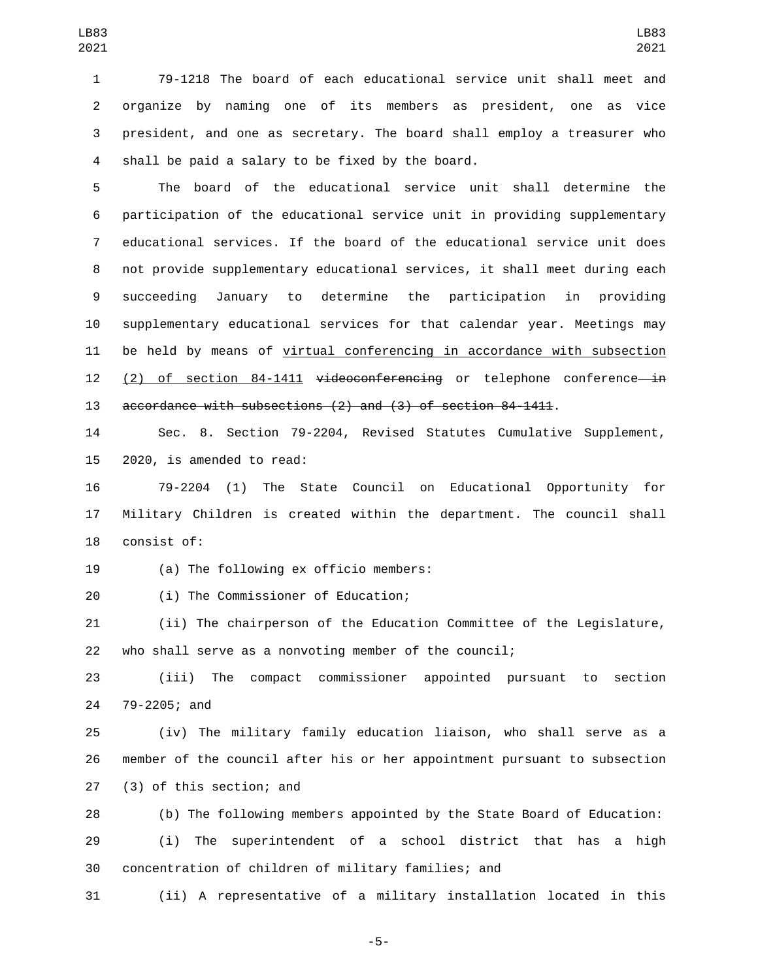79-1218 The board of each educational service unit shall meet and organize by naming one of its members as president, one as vice president, and one as secretary. The board shall employ a treasurer who 4 shall be paid a salary to be fixed by the board.

 The board of the educational service unit shall determine the participation of the educational service unit in providing supplementary educational services. If the board of the educational service unit does not provide supplementary educational services, it shall meet during each succeeding January to determine the participation in providing supplementary educational services for that calendar year. Meetings may be held by means of virtual conferencing in accordance with subsection 12 (2) of section 84-1411 videoconferencing or telephone conference in accordance with subsections (2) and (3) of section 84-1411.

 Sec. 8. Section 79-2204, Revised Statutes Cumulative Supplement, 2020, is amended to read:

 79-2204 (1) The State Council on Educational Opportunity for Military Children is created within the department. The council shall 18 consist of:

19 (a) The following ex officio members:

(i) The Commissioner of Education;20

 (ii) The chairperson of the Education Committee of the Legislature, who shall serve as a nonvoting member of the council;

 (iii) The compact commissioner appointed pursuant to section 24 79-2205; and

 (iv) The military family education liaison, who shall serve as a member of the council after his or her appointment pursuant to subsection 27 (3) of this section; and

 (b) The following members appointed by the State Board of Education: (i) The superintendent of a school district that has a high concentration of children of military families; and

(ii) A representative of a military installation located in this

-5-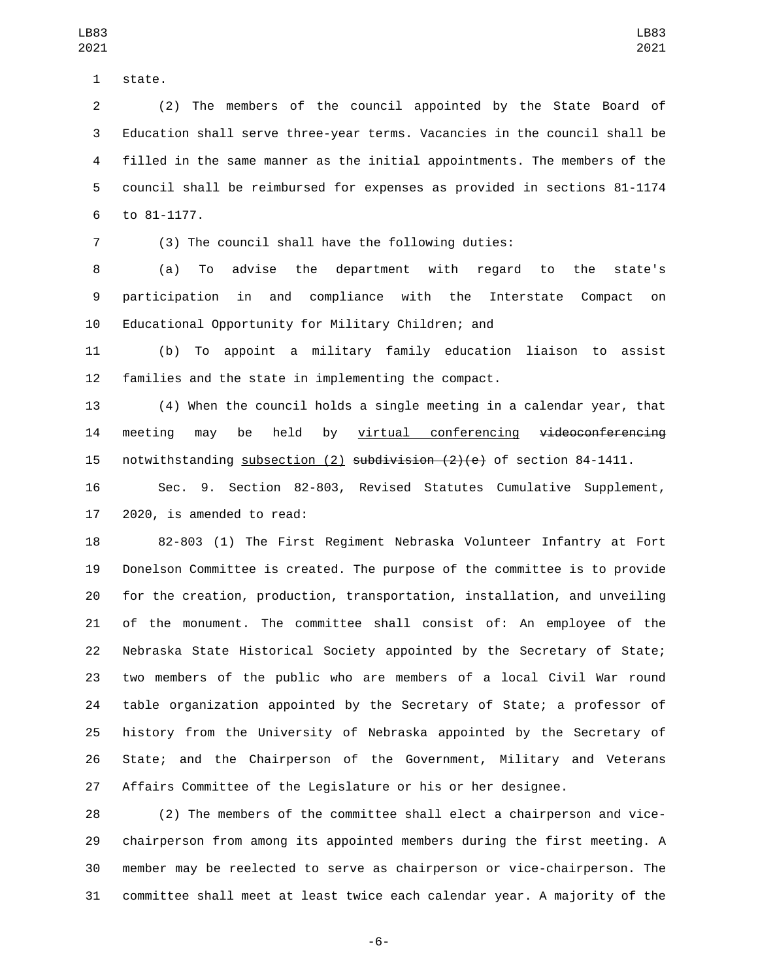1 state.

 (2) The members of the council appointed by the State Board of Education shall serve three-year terms. Vacancies in the council shall be filled in the same manner as the initial appointments. The members of the council shall be reimbursed for expenses as provided in sections 81-1174 6 to 81-1177.

(3) The council shall have the following duties:

 (a) To advise the department with regard to the state's participation in and compliance with the Interstate Compact on Educational Opportunity for Military Children; and

 (b) To appoint a military family education liaison to assist families and the state in implementing the compact.

 (4) When the council holds a single meeting in a calendar year, that 14 meeting may be held by virtual conferencing <del>videoconferencing</del> 15 notwithstanding subsection  $(2)$  subdivision  $(2)(e)$  of section 84-1411.

 Sec. 9. Section 82-803, Revised Statutes Cumulative Supplement, 2020, is amended to read:

 82-803 (1) The First Regiment Nebraska Volunteer Infantry at Fort Donelson Committee is created. The purpose of the committee is to provide for the creation, production, transportation, installation, and unveiling of the monument. The committee shall consist of: An employee of the Nebraska State Historical Society appointed by the Secretary of State; two members of the public who are members of a local Civil War round table organization appointed by the Secretary of State; a professor of history from the University of Nebraska appointed by the Secretary of State; and the Chairperson of the Government, Military and Veterans Affairs Committee of the Legislature or his or her designee.

 (2) The members of the committee shall elect a chairperson and vice- chairperson from among its appointed members during the first meeting. A member may be reelected to serve as chairperson or vice-chairperson. The committee shall meet at least twice each calendar year. A majority of the

-6-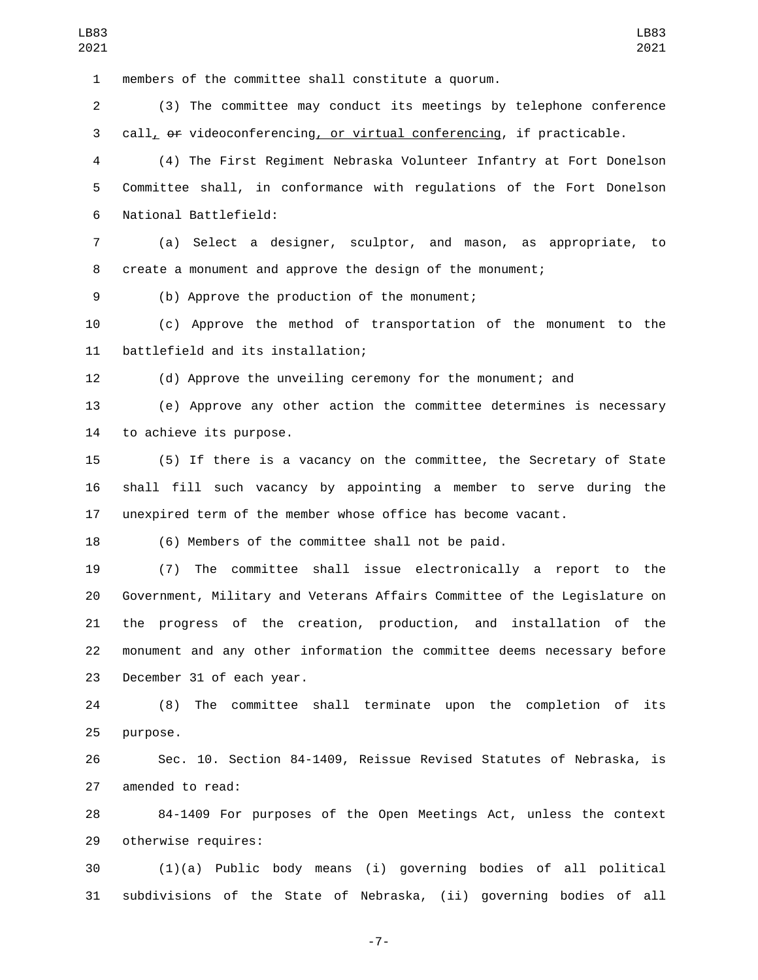members of the committee shall constitute a quorum.

 (3) The committee may conduct its meetings by telephone conference call, or videoconferencing, or virtual conferencing, if practicable.

 (4) The First Regiment Nebraska Volunteer Infantry at Fort Donelson Committee shall, in conformance with regulations of the Fort Donelson National Battlefield:6

 (a) Select a designer, sculptor, and mason, as appropriate, to create a monument and approve the design of the monument;

(b) Approve the production of the monument;9

 (c) Approve the method of transportation of the monument to the 11 battlefield and its installation;

(d) Approve the unveiling ceremony for the monument; and

 (e) Approve any other action the committee determines is necessary 14 to achieve its purpose.

 (5) If there is a vacancy on the committee, the Secretary of State shall fill such vacancy by appointing a member to serve during the unexpired term of the member whose office has become vacant.

(6) Members of the committee shall not be paid.

 (7) The committee shall issue electronically a report to the Government, Military and Veterans Affairs Committee of the Legislature on the progress of the creation, production, and installation of the monument and any other information the committee deems necessary before 23 December 31 of each year.

 (8) The committee shall terminate upon the completion of its 25 purpose.

 Sec. 10. Section 84-1409, Reissue Revised Statutes of Nebraska, is 27 amended to read:

 84-1409 For purposes of the Open Meetings Act, unless the context 29 otherwise requires:

 (1)(a) Public body means (i) governing bodies of all political subdivisions of the State of Nebraska, (ii) governing bodies of all

-7-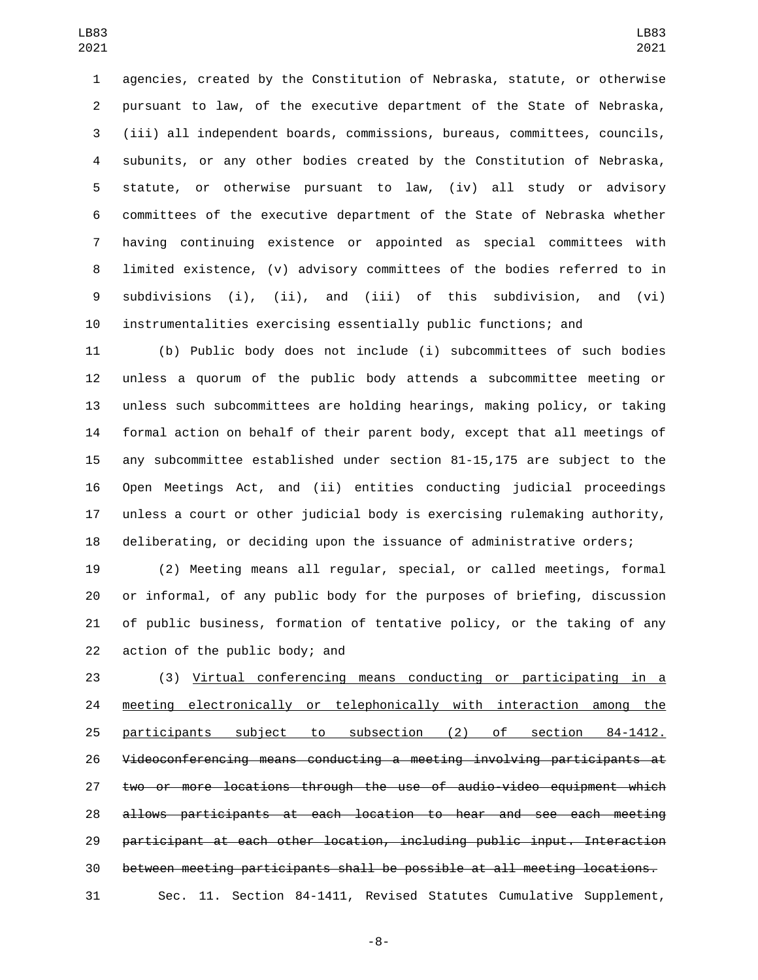agencies, created by the Constitution of Nebraska, statute, or otherwise pursuant to law, of the executive department of the State of Nebraska, (iii) all independent boards, commissions, bureaus, committees, councils, subunits, or any other bodies created by the Constitution of Nebraska, statute, or otherwise pursuant to law, (iv) all study or advisory committees of the executive department of the State of Nebraska whether having continuing existence or appointed as special committees with limited existence, (v) advisory committees of the bodies referred to in subdivisions (i), (ii), and (iii) of this subdivision, and (vi) instrumentalities exercising essentially public functions; and

 (b) Public body does not include (i) subcommittees of such bodies unless a quorum of the public body attends a subcommittee meeting or unless such subcommittees are holding hearings, making policy, or taking formal action on behalf of their parent body, except that all meetings of any subcommittee established under section 81-15,175 are subject to the Open Meetings Act, and (ii) entities conducting judicial proceedings unless a court or other judicial body is exercising rulemaking authority, deliberating, or deciding upon the issuance of administrative orders;

 (2) Meeting means all regular, special, or called meetings, formal or informal, of any public body for the purposes of briefing, discussion of public business, formation of tentative policy, or the taking of any 22 action of the public body; and

 (3) Virtual conferencing means conducting or participating in a 24 meeting electronically or telephonically with interaction among the participants subject to subsection (2) of section 84-1412. Videoconferencing means conducting a meeting involving participants at two or more locations through the use of audio-video equipment which allows participants at each location to hear and see each meeting participant at each other location, including public input. Interaction between meeting participants shall be possible at all meeting locations. Sec. 11. Section 84-1411, Revised Statutes Cumulative Supplement,

-8-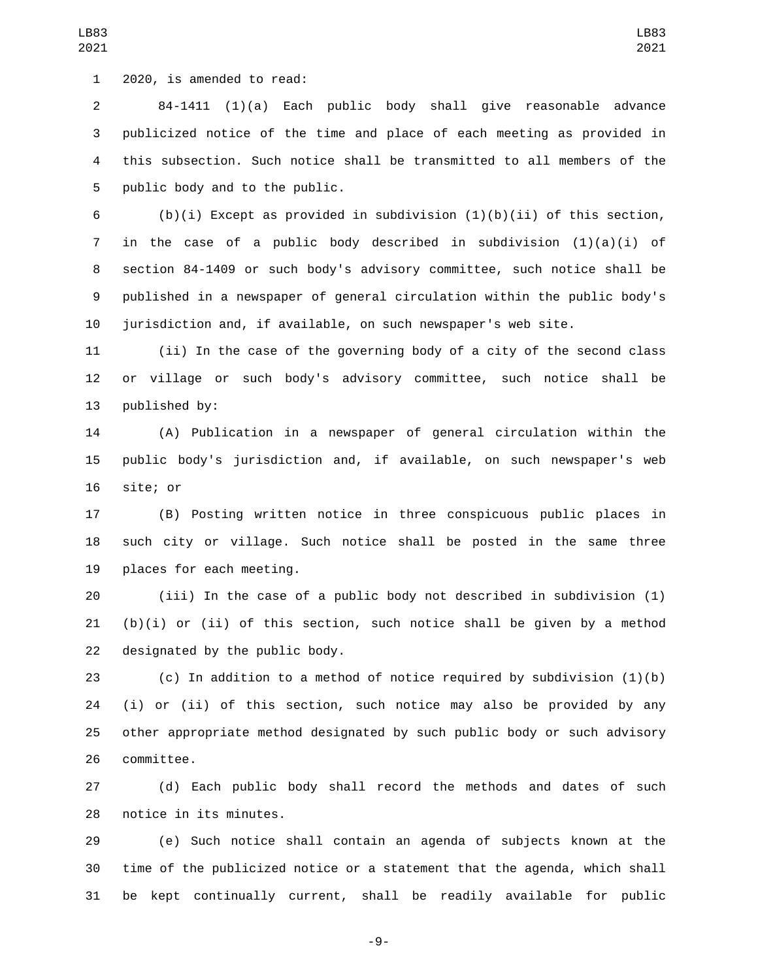1 2020, is amended to read:

 84-1411 (1)(a) Each public body shall give reasonable advance publicized notice of the time and place of each meeting as provided in this subsection. Such notice shall be transmitted to all members of the 5 public body and to the public.

6 (b)(i) Except as provided in subdivision  $(1)(b)(ii)$  of this section, 7 in the case of a public body described in subdivision  $(1)(a)(i)$  of section 84-1409 or such body's advisory committee, such notice shall be published in a newspaper of general circulation within the public body's jurisdiction and, if available, on such newspaper's web site.

 (ii) In the case of the governing body of a city of the second class or village or such body's advisory committee, such notice shall be 13 published by:

 (A) Publication in a newspaper of general circulation within the public body's jurisdiction and, if available, on such newspaper's web 16 site; or

 (B) Posting written notice in three conspicuous public places in such city or village. Such notice shall be posted in the same three 19 places for each meeting.

 (iii) In the case of a public body not described in subdivision (1) (b)(i) or (ii) of this section, such notice shall be given by a method 22 designated by the public body.

 (c) In addition to a method of notice required by subdivision (1)(b) (i) or (ii) of this section, such notice may also be provided by any other appropriate method designated by such public body or such advisory 26 committee.

 (d) Each public body shall record the methods and dates of such 28 notice in its minutes.

 (e) Such notice shall contain an agenda of subjects known at the time of the publicized notice or a statement that the agenda, which shall be kept continually current, shall be readily available for public

-9-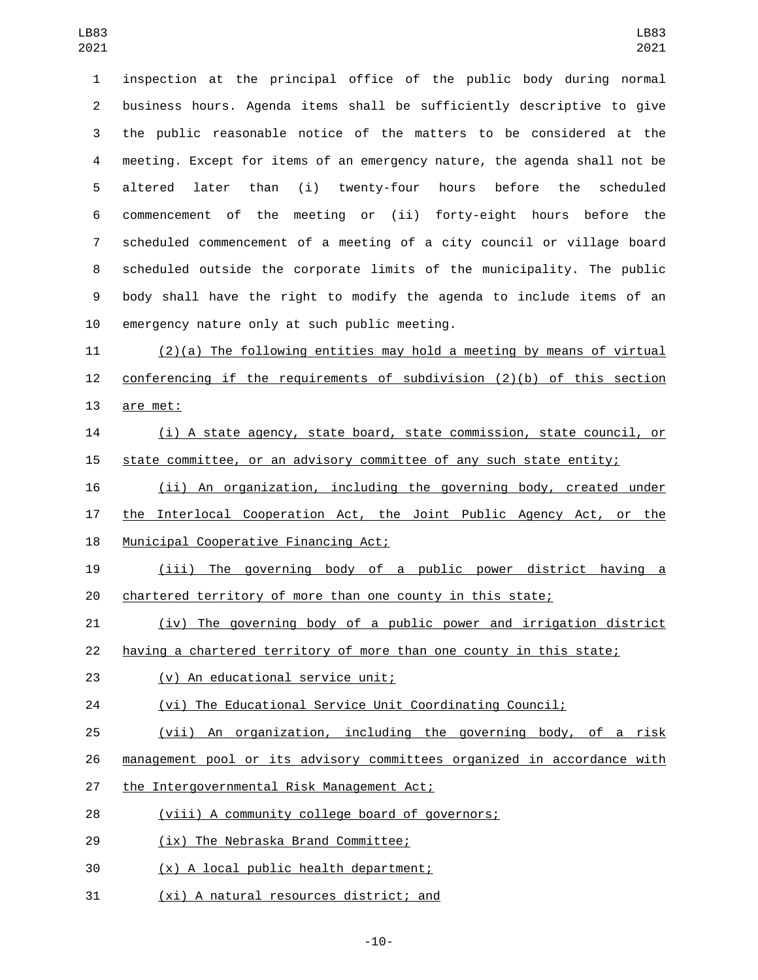inspection at the principal office of the public body during normal business hours. Agenda items shall be sufficiently descriptive to give the public reasonable notice of the matters to be considered at the meeting. Except for items of an emergency nature, the agenda shall not be altered later than (i) twenty-four hours before the scheduled commencement of the meeting or (ii) forty-eight hours before the scheduled commencement of a meeting of a city council or village board scheduled outside the corporate limits of the municipality. The public body shall have the right to modify the agenda to include items of an emergency nature only at such public meeting.

 (2)(a) The following entities may hold a meeting by means of virtual conferencing if the requirements of subdivision (2)(b) of this section 13 are met:

 (i) A state agency, state board, state commission, state council, or state committee, or an advisory committee of any such state entity;

 (ii) An organization, including the governing body, created under the Interlocal Cooperation Act, the Joint Public Agency Act, or the 18 Municipal Cooperative Financing Act;

 (iii) The governing body of a public power district having a chartered territory of more than one county in this state;

 (iv) The governing body of a public power and irrigation district having a chartered territory of more than one county in this state;

(v) An educational service unit;23

(vi) The Educational Service Unit Coordinating Council;

(vii) An organization, including the governing body, of a risk

management pool or its advisory committees organized in accordance with

- 27 the Intergovernmental Risk Management Act;
- 28 (viii) A community college board of governors;
- 29 (ix) The Nebraska Brand Committee;
- (x) A local public health department;30
- 31 (xi) A natural resources district; and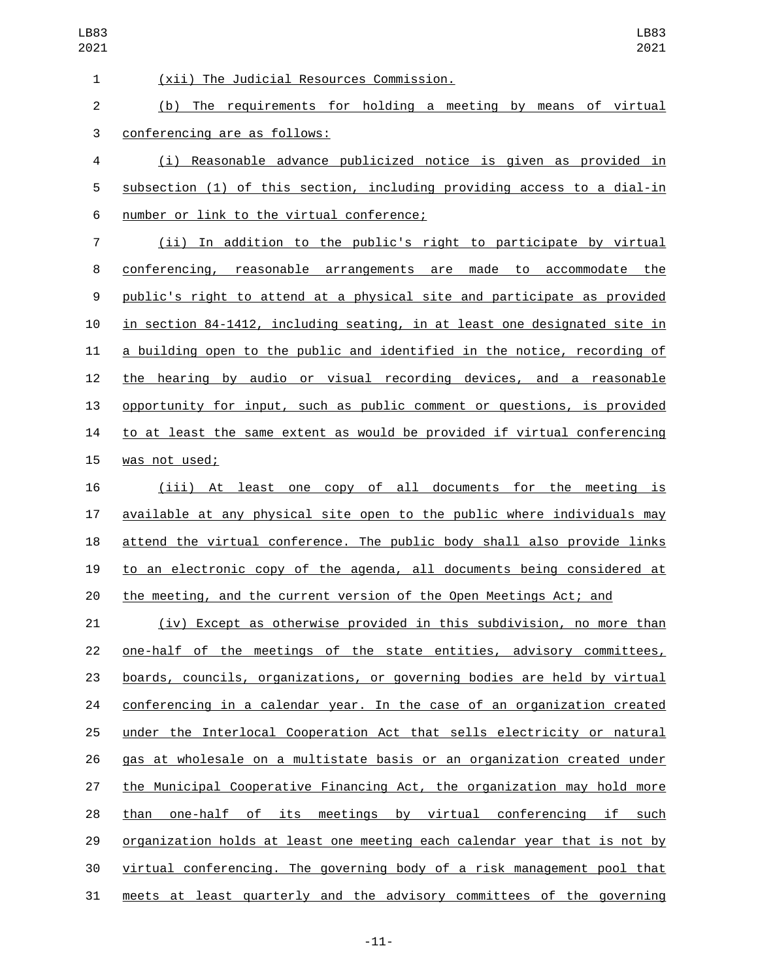(xii) The Judicial Resources Commission.1 (b) The requirements for holding a meeting by means of virtual 3 conferencing are as follows: (i) Reasonable advance publicized notice is given as provided in subsection (1) of this section, including providing access to a dial-in 6 number or link to the virtual conference; (ii) In addition to the public's right to participate by virtual conferencing, reasonable arrangements are made to accommodate the public's right to attend at a physical site and participate as provided in section 84-1412, including seating, in at least one designated site in a building open to the public and identified in the notice, recording of the hearing by audio or visual recording devices, and a reasonable opportunity for input, such as public comment or questions, is provided to at least the same extent as would be provided if virtual conferencing 15 was not used; (iii) At least one copy of all documents for the meeting is available at any physical site open to the public where individuals may attend the virtual conference. The public body shall also provide links to an electronic copy of the agenda, all documents being considered at the meeting, and the current version of the Open Meetings Act; and (iv) Except as otherwise provided in this subdivision, no more than one-half of the meetings of the state entities, advisory committees, boards, councils, organizations, or governing bodies are held by virtual conferencing in a calendar year. In the case of an organization created 25 under the Interlocal Cooperation Act that sells electricity or natural gas at wholesale on a multistate basis or an organization created under the Municipal Cooperative Financing Act, the organization may hold more 28 than one-half of its meetings by virtual conferencing if such organization holds at least one meeting each calendar year that is not by virtual conferencing. The governing body of a risk management pool that meets at least quarterly and the advisory committees of the governing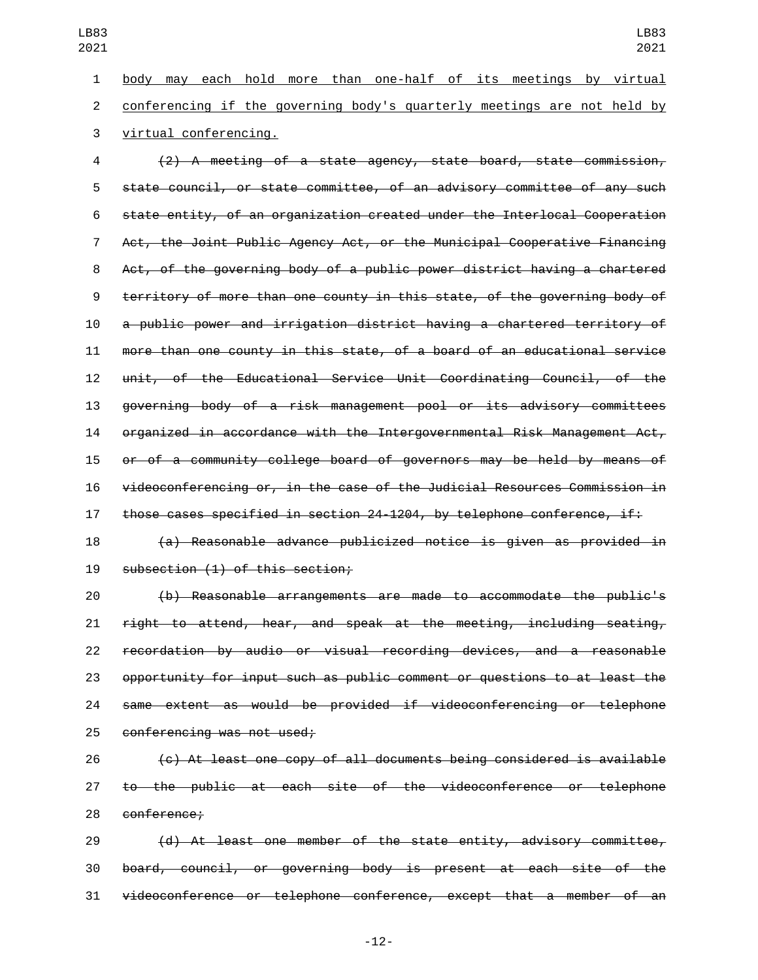body may each hold more than one-half of its meetings by virtual conferencing if the governing body's quarterly meetings are not held by

3 virtual conferencing.

 (2) A meeting of a state agency, state board, state commission, state council, or state committee, of an advisory committee of any such state entity, of an organization created under the Interlocal Cooperation Act, the Joint Public Agency Act, or the Municipal Cooperative Financing Act, of the governing body of a public power district having a chartered territory of more than one county in this state, of the governing body of a public power and irrigation district having a chartered territory of more than one county in this state, of a board of an educational service unit, of the Educational Service Unit Coordinating Council, of the governing body of a risk management pool or its advisory committees organized in accordance with the Intergovernmental Risk Management Act, or of a community college board of governors may be held by means of videoconferencing or, in the case of the Judicial Resources Commission in those cases specified in section 24-1204, by telephone conference, if:

 (a) Reasonable advance publicized notice is given as provided in 19 subsection (1) of this section;

 (b) Reasonable arrangements are made to accommodate the public's right to attend, hear, and speak at the meeting, including seating, recordation by audio or visual recording devices, and a reasonable opportunity for input such as public comment or questions to at least the same extent as would be provided if videoconferencing or telephone 25 conferencing was not used;

 (c) At least one copy of all documents being considered is available to the public at each site of the videoconference or telephone 28 conference:

 (d) At least one member of the state entity, advisory committee, board, council, or governing body is present at each site of the videoconference or telephone conference, except that a member of an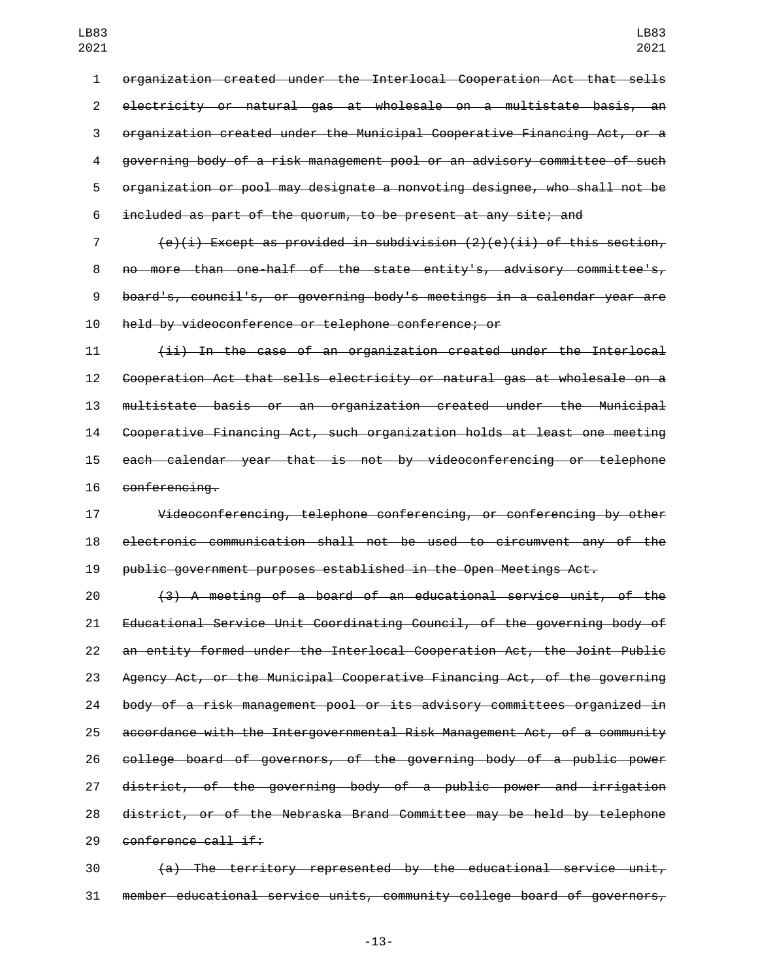organization created under the Interlocal Cooperation Act that sells electricity or natural gas at wholesale on a multistate basis, an organization created under the Municipal Cooperative Financing Act, or a governing body of a risk management pool or an advisory committee of such organization or pool may designate a nonvoting designee, who shall not be included as part of the quorum, to be present at any site; and

 $(e)(i)$  Except as provided in subdivision  $(2)(e)(ii)$  of this section, no more than one-half of the state entity's, advisory committee's, board's, council's, or governing body's meetings in a calendar year are held by videoconference or telephone conference; or

 (ii) In the case of an organization created under the Interlocal Cooperation Act that sells electricity or natural gas at wholesale on a multistate basis or an organization created under the Municipal Cooperative Financing Act, such organization holds at least one meeting each calendar year that is not by videoconferencing or telephone 16 conferencing.

 Videoconferencing, telephone conferencing, or conferencing by other electronic communication shall not be used to circumvent any of the public government purposes established in the Open Meetings Act.

 (3) A meeting of a board of an educational service unit, of the Educational Service Unit Coordinating Council, of the governing body of an entity formed under the Interlocal Cooperation Act, the Joint Public Agency Act, or the Municipal Cooperative Financing Act, of the governing body of a risk management pool or its advisory committees organized in accordance with the Intergovernmental Risk Management Act, of a community college board of governors, of the governing body of a public power district, of the governing body of a public power and irrigation district, or of the Nebraska Brand Committee may be held by telephone 29 conference call if:

 (a) The territory represented by the educational service unit, member educational service units, community college board of governors,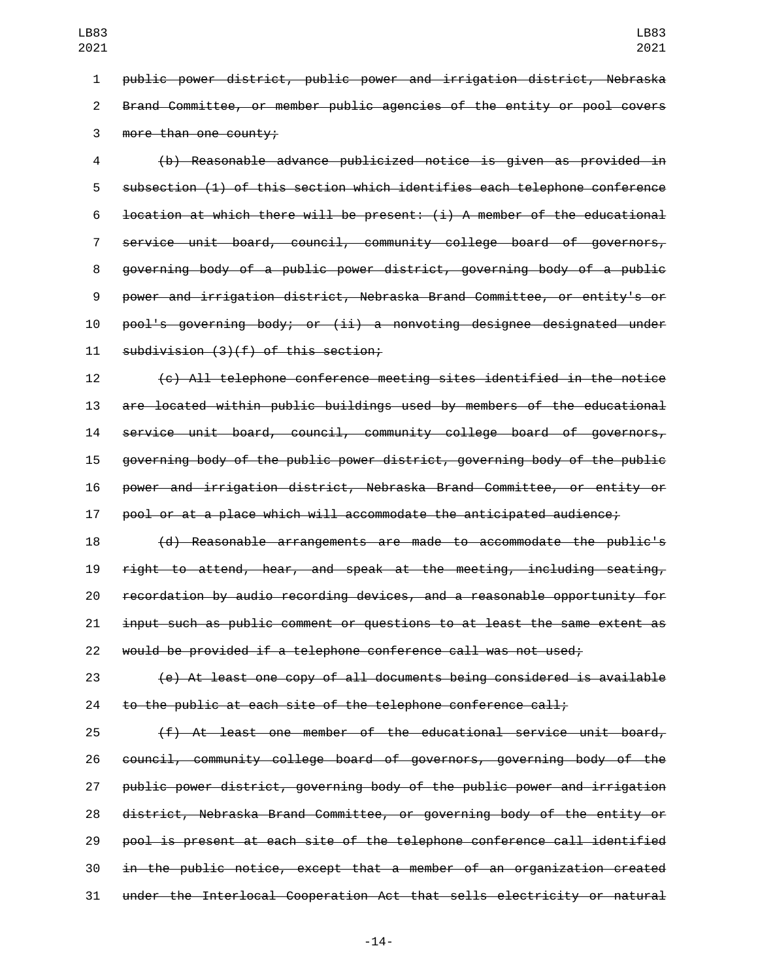public power district, public power and irrigation district, Nebraska Brand Committee, or member public agencies of the entity or pool covers 3 more than one county;

 (b) Reasonable advance publicized notice is given as provided in subsection (1) of this section which identifies each telephone conference **location at which there will be present:** (i) A member of the educational service unit board, council, community college board of governors, governing body of a public power district, governing body of a public power and irrigation district, Nebraska Brand Committee, or entity's or pool's governing body; or (ii) a nonvoting designee designated under 11 subdivision (3)(f) of this section;

 (c) All telephone conference meeting sites identified in the notice are located within public buildings used by members of the educational service unit board, council, community college board of governors, governing body of the public power district, governing body of the public power and irrigation district, Nebraska Brand Committee, or entity or pool or at a place which will accommodate the anticipated audience;

 (d) Reasonable arrangements are made to accommodate the public's right to attend, hear, and speak at the meeting, including seating, recordation by audio recording devices, and a reasonable opportunity for input such as public comment or questions to at least the same extent as would be provided if a telephone conference call was not used;

 (e) At least one copy of all documents being considered is available 24 to the public at each site of the telephone conference call;

 (f) At least one member of the educational service unit board, council, community college board of governors, governing body of the public power district, governing body of the public power and irrigation district, Nebraska Brand Committee, or governing body of the entity or pool is present at each site of the telephone conference call identified in the public notice, except that a member of an organization created under the Interlocal Cooperation Act that sells electricity or natural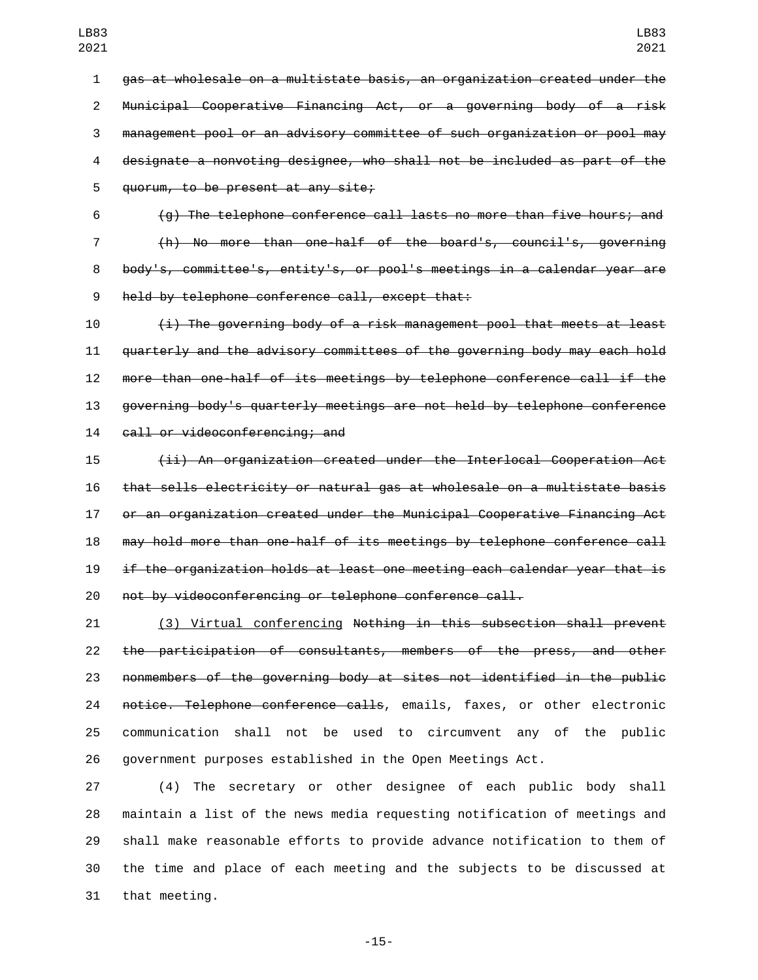gas at wholesale on a multistate basis, an organization created under the Municipal Cooperative Financing Act, or a governing body of a risk management pool or an advisory committee of such organization or pool may designate a nonvoting designee, who shall not be included as part of the 5 quorum, to be present at any site;

 (g) The telephone conference call lasts no more than five hours; and (h) No more than one-half of the board's, council's, governing body's, committee's, entity's, or pool's meetings in a calendar year are 9 held by telephone conference call, except that:

 (i) The governing body of a risk management pool that meets at least quarterly and the advisory committees of the governing body may each hold more than one-half of its meetings by telephone conference call if the governing body's quarterly meetings are not held by telephone conference 14 call or videoconferencing; and

 (ii) An organization created under the Interlocal Cooperation Act that sells electricity or natural gas at wholesale on a multistate basis or an organization created under the Municipal Cooperative Financing Act may hold more than one-half of its meetings by telephone conference call if the organization holds at least one meeting each calendar year that is not by videoconferencing or telephone conference call.

 (3) Virtual conferencing Nothing in this subsection shall prevent the participation of consultants, members of the press, and other nonmembers of the governing body at sites not identified in the public 24 notice. Telephone conference calls, emails, faxes, or other electronic communication shall not be used to circumvent any of the public government purposes established in the Open Meetings Act.

 (4) The secretary or other designee of each public body shall maintain a list of the news media requesting notification of meetings and shall make reasonable efforts to provide advance notification to them of the time and place of each meeting and the subjects to be discussed at 31 that meeting.

-15-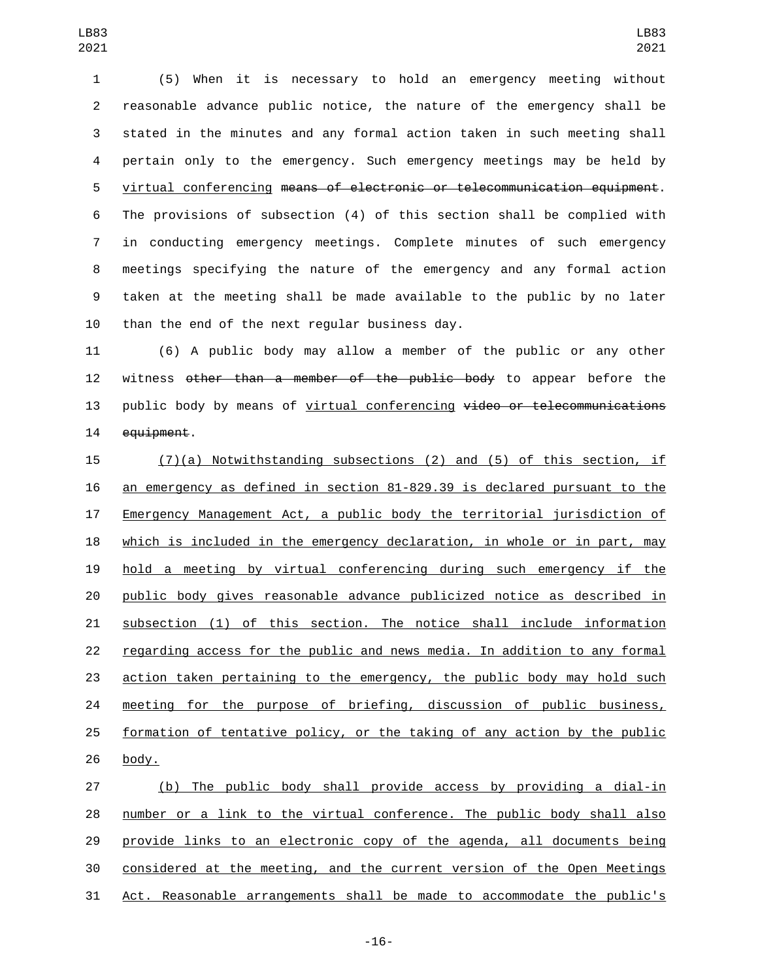(5) When it is necessary to hold an emergency meeting without reasonable advance public notice, the nature of the emergency shall be stated in the minutes and any formal action taken in such meeting shall pertain only to the emergency. Such emergency meetings may be held by virtual conferencing means of electronic or telecommunication equipment. The provisions of subsection (4) of this section shall be complied with in conducting emergency meetings. Complete minutes of such emergency meetings specifying the nature of the emergency and any formal action taken at the meeting shall be made available to the public by no later than the end of the next regular business day.

 (6) A public body may allow a member of the public or any other witness other than a member of the public body to appear before the 13 public body by means of virtual conferencing video or telecommunications 14 equipment.

 (7)(a) Notwithstanding subsections (2) and (5) of this section, if an emergency as defined in section 81-829.39 is declared pursuant to the Emergency Management Act, a public body the territorial jurisdiction of which is included in the emergency declaration, in whole or in part, may hold a meeting by virtual conferencing during such emergency if the public body gives reasonable advance publicized notice as described in subsection (1) of this section. The notice shall include information regarding access for the public and news media. In addition to any formal action taken pertaining to the emergency, the public body may hold such meeting for the purpose of briefing, discussion of public business, formation of tentative policy, or the taking of any action by the public body.

 (b) The public body shall provide access by providing a dial-in number or a link to the virtual conference. The public body shall also provide links to an electronic copy of the agenda, all documents being considered at the meeting, and the current version of the Open Meetings Act. Reasonable arrangements shall be made to accommodate the public's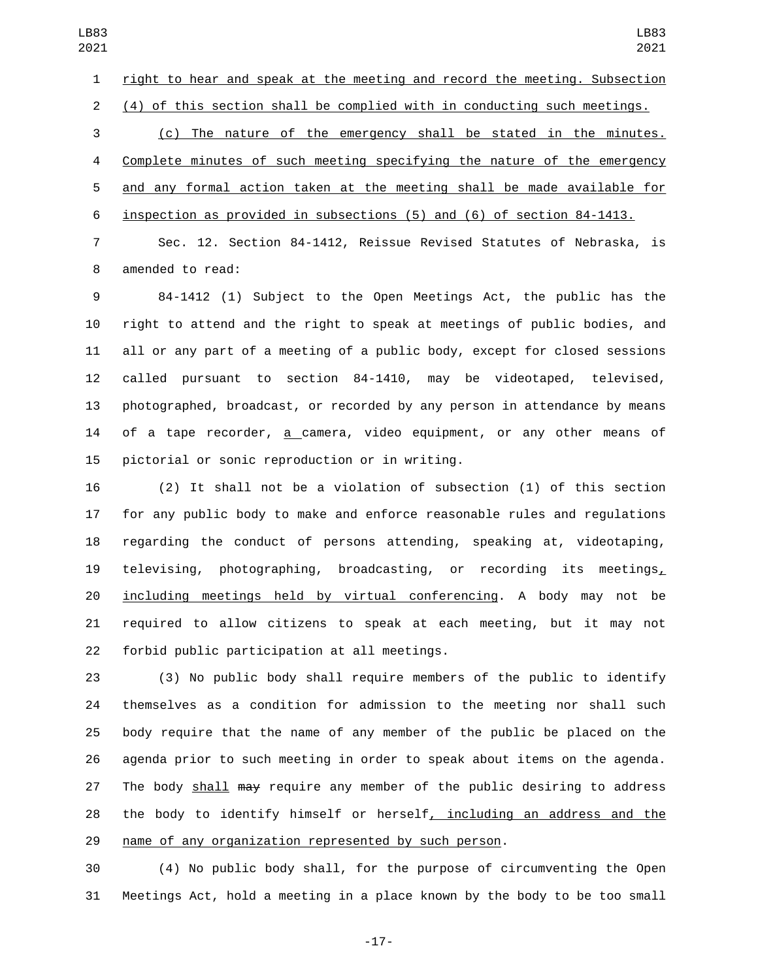right to hear and speak at the meeting and record the meeting. Subsection (4) of this section shall be complied with in conducting such meetings.

 (c) The nature of the emergency shall be stated in the minutes. Complete minutes of such meeting specifying the nature of the emergency and any formal action taken at the meeting shall be made available for inspection as provided in subsections (5) and (6) of section 84-1413.

 Sec. 12. Section 84-1412, Reissue Revised Statutes of Nebraska, is 8 amended to read:

 84-1412 (1) Subject to the Open Meetings Act, the public has the right to attend and the right to speak at meetings of public bodies, and all or any part of a meeting of a public body, except for closed sessions called pursuant to section 84-1410, may be videotaped, televised, photographed, broadcast, or recorded by any person in attendance by means of a tape recorder, a camera, video equipment, or any other means of 15 pictorial or sonic reproduction or in writing.

 (2) It shall not be a violation of subsection (1) of this section for any public body to make and enforce reasonable rules and regulations regarding the conduct of persons attending, speaking at, videotaping, televising, photographing, broadcasting, or recording its meetings, including meetings held by virtual conferencing. A body may not be required to allow citizens to speak at each meeting, but it may not 22 forbid public participation at all meetings.

 (3) No public body shall require members of the public to identify themselves as a condition for admission to the meeting nor shall such body require that the name of any member of the public be placed on the agenda prior to such meeting in order to speak about items on the agenda. 27 The body shall may require any member of the public desiring to address the body to identify himself or herself, including an address and the name of any organization represented by such person.

 (4) No public body shall, for the purpose of circumventing the Open Meetings Act, hold a meeting in a place known by the body to be too small

-17-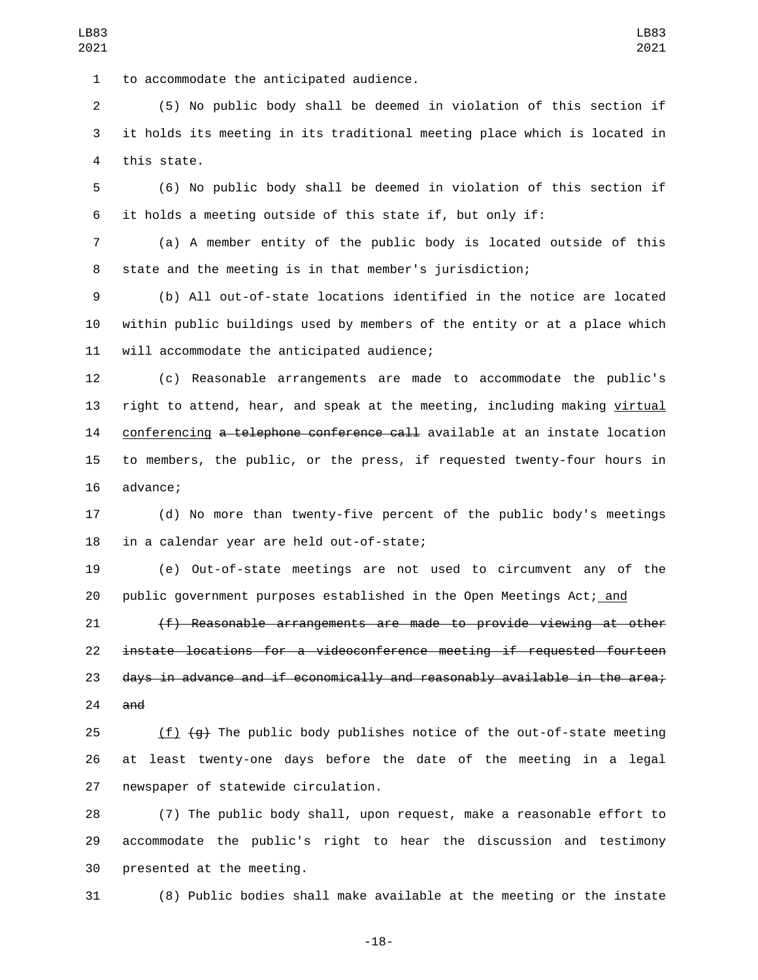1 to accommodate the anticipated audience.

 (5) No public body shall be deemed in violation of this section if it holds its meeting in its traditional meeting place which is located in 4 this state.

 (6) No public body shall be deemed in violation of this section if it holds a meeting outside of this state if, but only if:

 (a) A member entity of the public body is located outside of this state and the meeting is in that member's jurisdiction;

 (b) All out-of-state locations identified in the notice are located within public buildings used by members of the entity or at a place which 11 will accommodate the anticipated audience;

 (c) Reasonable arrangements are made to accommodate the public's 13 right to attend, hear, and speak at the meeting, including making virtual conferencing a telephone conference call available at an instate location to members, the public, or the press, if requested twenty-four hours in 16 advance;

 (d) No more than twenty-five percent of the public body's meetings 18 in a calendar year are held out-of-state;

 (e) Out-of-state meetings are not used to circumvent any of the 20 public government purposes established in the Open Meetings Act; and

 (f) Reasonable arrangements are made to provide viewing at other instate locations for a videoconference meeting if requested fourteen days in advance and if economically and reasonably available in the area; and

25  $(f)$   $(g)$  The public body publishes notice of the out-of-state meeting at least twenty-one days before the date of the meeting in a legal 27 newspaper of statewide circulation.

 (7) The public body shall, upon request, make a reasonable effort to accommodate the public's right to hear the discussion and testimony 30 presented at the meeting.

(8) Public bodies shall make available at the meeting or the instate

-18-

LB83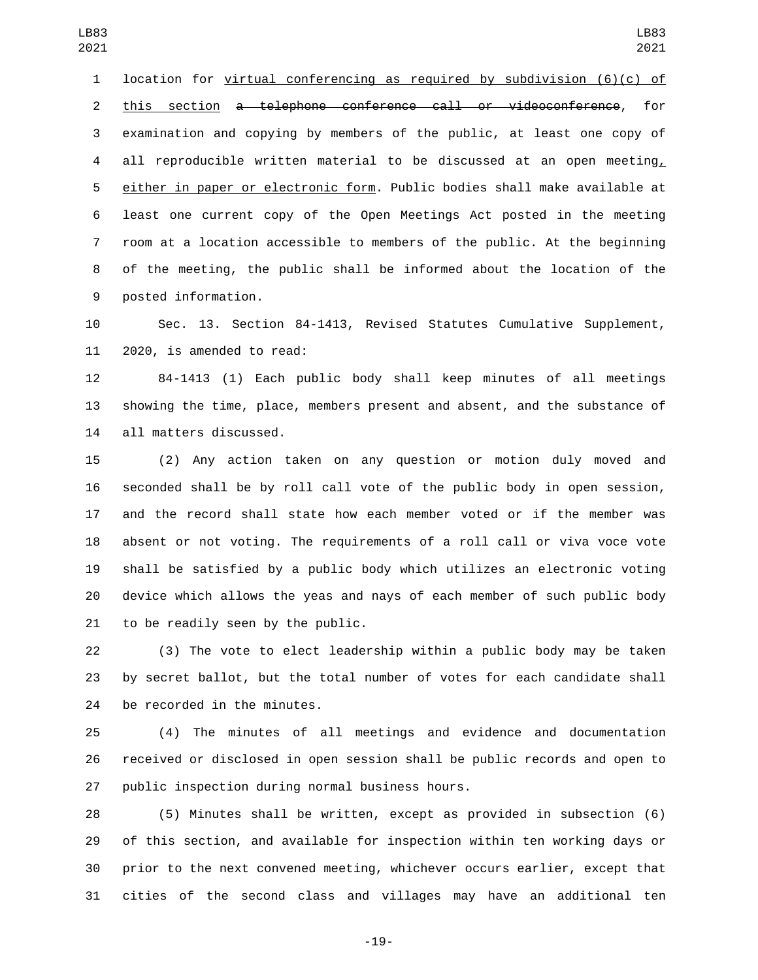location for virtual conferencing as required by subdivision (6)(c) of this section a telephone conference call or videoconference, for examination and copying by members of the public, at least one copy of 4 all reproducible written material to be discussed at an open meeting, either in paper or electronic form. Public bodies shall make available at least one current copy of the Open Meetings Act posted in the meeting room at a location accessible to members of the public. At the beginning of the meeting, the public shall be informed about the location of the 9 posted information.

 Sec. 13. Section 84-1413, Revised Statutes Cumulative Supplement, 11 2020, is amended to read:

 84-1413 (1) Each public body shall keep minutes of all meetings showing the time, place, members present and absent, and the substance of 14 all matters discussed.

 (2) Any action taken on any question or motion duly moved and seconded shall be by roll call vote of the public body in open session, and the record shall state how each member voted or if the member was absent or not voting. The requirements of a roll call or viva voce vote shall be satisfied by a public body which utilizes an electronic voting device which allows the yeas and nays of each member of such public body to be readily seen by the public.

 (3) The vote to elect leadership within a public body may be taken by secret ballot, but the total number of votes for each candidate shall 24 be recorded in the minutes.

 (4) The minutes of all meetings and evidence and documentation received or disclosed in open session shall be public records and open to 27 public inspection during normal business hours.

 (5) Minutes shall be written, except as provided in subsection (6) of this section, and available for inspection within ten working days or prior to the next convened meeting, whichever occurs earlier, except that cities of the second class and villages may have an additional ten

-19-